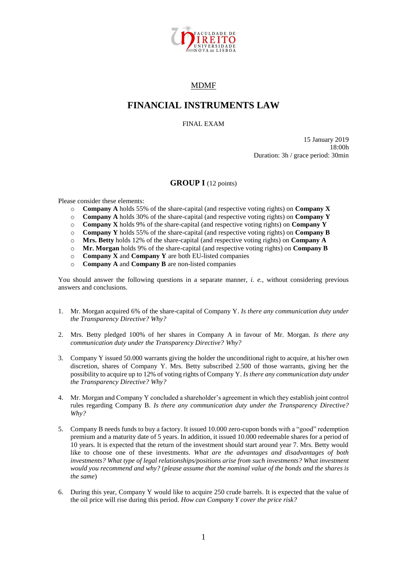

## MDMF

## **FINANCIAL INSTRUMENTS LAW**

FINAL EXAM

15 January 2019 18:00h Duration: 3h / grace period: 30min

## **GROUP I** (12 points)

Please consider these elements:

- o **Company A** holds 55% of the share-capital (and respective voting rights) on **Company X**
- o **Company A** holds 30% of the share-capital (and respective voting rights) on **Company Y**
- o **Company X** holds 9% of the share-capital (and respective voting rights) on **Company Y**
- o **Company Y** holds 55% of the share-capital (and respective voting rights) on **Company B**
- o **Mrs. Betty** holds 12% of the share-capital (and respective voting rights) on **Company A**
- o **Mr. Morgan** holds 9% of the share-capital (and respective voting rights) on **Company B**
- o **Company X** and **Company Y** are both EU-listed companies
- o **Company A** and **Company B** are non-listed companies

You should answer the following questions in a separate manner, *i. e.*, without considering previous answers and conclusions.

- 1. Mr. Morgan acquired 6% of the share-capital of Company Y. *Is there any communication duty under the Transparency Directive? Why?*
- 2. Mrs. Betty pledged 100% of her shares in Company A in favour of Mr. Morgan. *Is there any communication duty under the Transparency Directive? Why?*
- 3. Company Y issued 50.000 warrants giving the holder the unconditional right to acquire, at his/her own discretion, shares of Company Y. Mrs. Betty subscribed 2.500 of those warrants, giving her the possibility to acquire up to 12% of voting rights of Company Y. *Is there any communication duty under the Transparency Directive? Why?*
- 4. Mr. Morgan and Company Y concluded a shareholder's agreement in which they establish joint control rules regarding Company B. *Is there any communication duty under the Transparency Directive? Why?*
- 5. Company B needs funds to buy a factory. It issued 10.000 zero-cupon bonds with a "good" redemption premium and a maturity date of 5 years. In addition, it issued 10.000 redeemable shares for a period of 10 years. It is expected that the return of the investment should start around year 7. Mrs. Betty would like to choose one of these investments. *What are the advantages and disadvantages of both investments? What type of legal relationships/positions arise from such investments? What investment would you recommend and why?* (*please assume that the nominal value of the bonds and the shares is the same*)
- 6. During this year, Company Y would like to acquire 250 crude barrels. It is expected that the value of the oil price will rise during this period. *How can Company Y cover the price risk?*